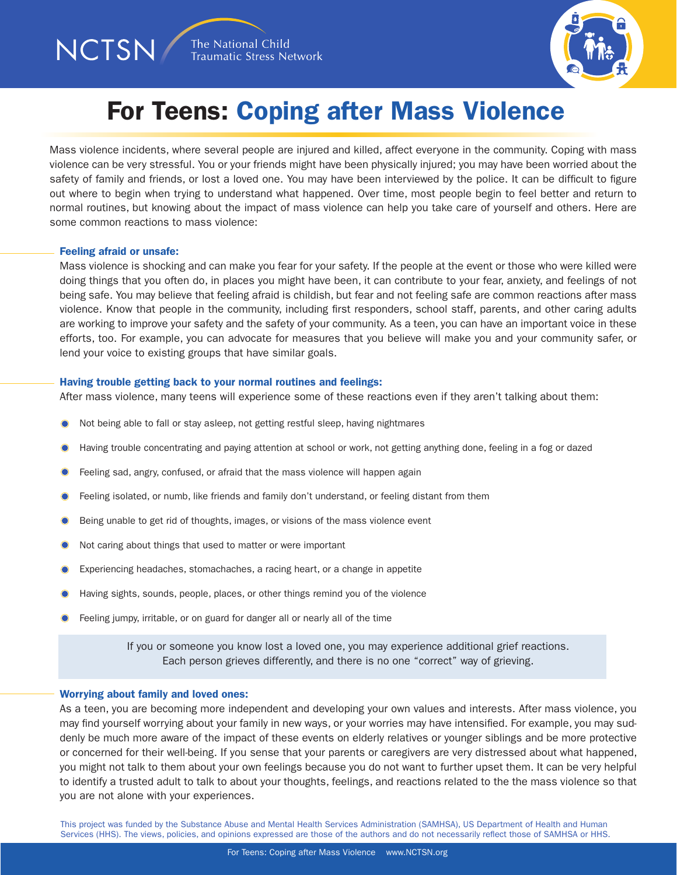

## For Teens: Coping after Mass Violence

Mass violence incidents, where several people are injured and killed, affect everyone in the community. Coping with mass violence can be very stressful. You or your friends might have been physically injured; you may have been worried about the safety of family and friends, or lost a loved one. You may have been interviewed by the police. It can be difficult to figure out where to begin when trying to understand what happened. Over time, most people begin to feel better and return to normal routines, but knowing about the impact of mass violence can help you take care of yourself and others. Here are some common reactions to mass violence:

#### Feeling afraid or unsafe:

NCTSN/

Mass violence is shocking and can make you fear for your safety. If the people at the event or those who were killed were doing things that you often do, in places you might have been, it can contribute to your fear, anxiety, and feelings of not being safe. You may believe that feeling afraid is childish, but fear and not feeling safe are common reactions after mass violence. Know that people in the community, including first responders, school staff, parents, and other caring adults are working to improve your safety and the safety of your community. As a teen, you can have an important voice in these efforts, too. For example, you can advocate for measures that you believe will make you and your community safer, or lend your voice to existing groups that have similar goals.

#### Having trouble getting back to your normal routines and feelings:

After mass violence, many teens will experience some of these reactions even if they aren't talking about them:

- Not being able to fall or stay asleep, not getting restful sleep, having nightmares
- Having trouble concentrating and paying attention at school or work, not getting anything done, feeling in a fog or dazed
- Feeling sad, angry, confused, or afraid that the mass violence will happen again
- Feeling isolated, or numb, like friends and family don't understand, or feeling distant from them
- Being unable to get rid of thoughts, images, or visions of the mass violence event
- Not caring about things that used to matter or were important
- Experiencing headaches, stomachaches, a racing heart, or a change in appetite
- Having sights, sounds, people, places, or other things remind you of the violence
- Feeling jumpy, irritable, or on guard for danger all or nearly all of the time

If you or someone you know lost a loved one, you may experience additional grief reactions. Each person grieves differently, and there is no one "correct" way of grieving.

#### Worrying about family and loved ones:

As a teen, you are becoming more independent and developing your own values and interests. After mass violence, you may find yourself worrying about your family in new ways, or your worries may have intensified. For example, you may suddenly be much more aware of the impact of these events on elderly relatives or younger siblings and be more protective or concerned for their well-being. If you sense that your parents or caregivers are very distressed about what happened, you might not talk to them about your own feelings because you do not want to further upset them. It can be very helpful to identify a trusted adult to talk to about your thoughts, feelings, and reactions related to the the mass violence so that you are not alone with your experiences.

This project was funded by the Substance Abuse and Mental Health Services Administration (SAMHSA), US Department of Health and Human Services (HHS). The views, policies, and opinions expressed are those of the authors and do not necessarily reflect those of SAMHSA or HHS.